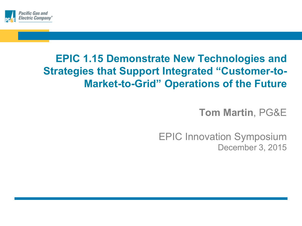

## **EPIC 1.15 Demonstrate New Technologies and Strategies that Support Integrated "Customer-to-Market-to-Grid" Operations of the Future**

**Tom Martin**, PG&E

EPIC Innovation Symposium December 3, 2015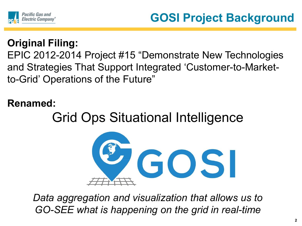

## **Original Filing:**

EPIC 2012-2014 Project #15 "Demonstrate New Technologies and Strategies That Support Integrated 'Customer-to-Marketto-Grid' Operations of the Future"

#### **Renamed:**

# Grid Ops Situational Intelligence



*Data aggregation and visualization that allows us to GO-SEE what is happening on the grid in real-time*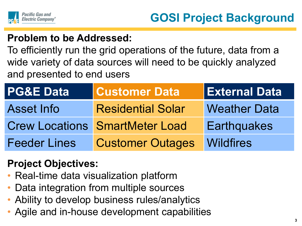

#### **Problem to be Addressed:**

To efficiently run the grid operations of the future, data from a wide variety of data sources will need to be quickly analyzed and presented to end users

| <b>PG&amp;E Data</b> | <b>Customer Data</b>                  | <b>External Data</b> |
|----------------------|---------------------------------------|----------------------|
| <b>Asset Info</b>    | <b>Residential Solar</b>              | <b>Weather Data</b>  |
|                      | <b>Crew Locations SmartMeter Load</b> | <b>Earthquakes</b>   |
| <b>Feeder Lines</b>  | <b>Customer Outages</b>               | <b>Wildfires</b>     |

#### **Project Objectives:**

- Real-time data visualization platform
- Data integration from multiple sources
- Ability to develop business rules/analytics
- Agile and in-house development capabilities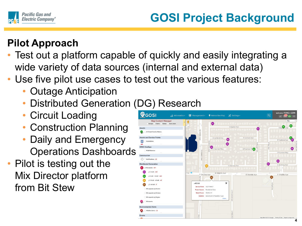

### **Pilot Approach**

- Test out a platform capable of quickly and easily integrating a wide variety of data sources (internal and external data)
- Use five pilot use cases to test out the various features:
	- Outage Anticipation
	- Distributed Generation (DG) Research
	- Circuit Loading
	- Construction Planning
	- Daily and Emergency **Operations Dashboards**
- Pilot is testing out the Mix Director platform from Bit Stew

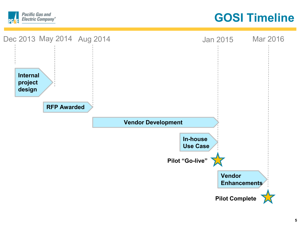

**GOSI Timeline**